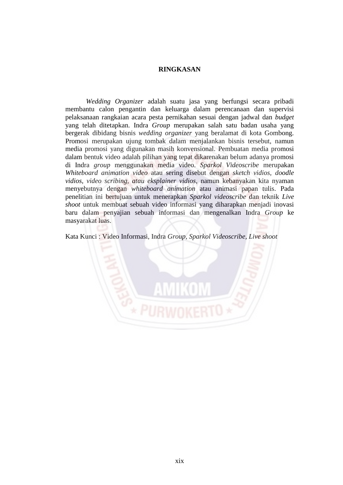## **RINGKASAN**

*Wedding Organizer* adalah suatu jasa yang berfungsi secara pribadi membantu calon pengantin dan keluarga dalam perencanaan dan supervisi pelaksanaan rangkaian acara pesta pernikahan sesuai dengan jadwal dan *budget* yang telah ditetapkan. Indra *Group* merupakan salah satu badan usaha yang bergerak dibidang bisnis *wedding organizer* yang beralamat di kota Gombong. Promosi merupakan ujung tombak dalam menjalankan bisnis tersebut, namun media promosi yang digunakan masih konvensional. Pembuatan media promosi dalam bentuk video adalah pilihan yang tepat dikarenakan belum adanya promosi di Indra *group* menggunakan media video. *Sparkol Videoscribe* merupakan *Whiteboard animation video* atau sering disebut dengan *sketch vidios, doodle vidios, video scribing, atau eksplainer vidios,* namun kebanyakan kita nyaman menyebutnya dengan *whiteboard animation* atau animasi papan tulis. Pada penelitian ini bertujuan untuk menerapkan *Sparkol videoscribe* dan teknik *Live shoot* untuk membuat sebuah video informasi yang diharapkan menjadi inovasi baru dalam penyajian sebuah informasi dan mengenalkan Indra *Group* ke masyarakat luas.

Kata Kunci : Video Informasi, Indra *Group, Sparkol Videoscribe, Live shoot*